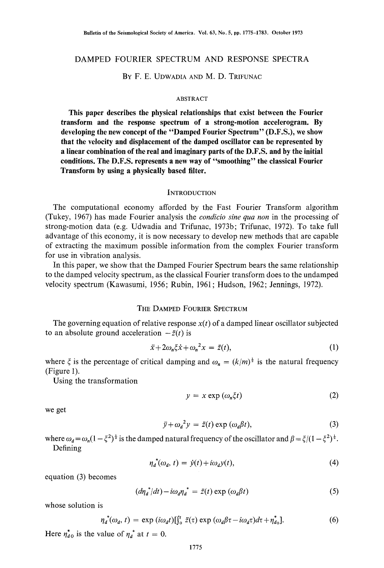# DAMPED FOURIER SPECTRUM AND RESPONSE SPECTRA

## BY F. E. UDWADIA AND M. D. TRIFUNAC

### ABSTRACT

**This paper describes the physical relationships that exist between the Fourier transform and the response spectrum of a strong-motion accelerogram. By developing the new concept of the "Damped Fourier Spectrum" (D.F.S.), we show that the velocity and displacement of the damped oscillator can be represented by a linear combination of the real and imaginary parts of the D.F.S. and by the initial conditions. The D.F.S. represents a new way of "smoothing" the classical Fourier Transform by using a physically based filter.** 

#### **INTRODUCTION**

The computational economy afforded by the Fast Fourier Transform algorithm (Tukey, 1967) has made Fourier analysis the *eondicio sine qua non* in the processing of strong-motion data (e.g. Udwadia and Trifunac, 1973b; Trifunac, 1972). To take full advantage of this economy, it is now necessary to develop new methods that are capable of extracting the maximum possible information from the complex Fourier transform for use in vibration analysis.

In this paper, we show that the Damped Fourier Spectrum bears the same relationship to the damped velocity spectrum, as the classical Fourier transform does to the undamped velocity spectrum (Kawasumi, 1956; Rubin, 1961; Hudson, 1962; Jennings, 1972).

### THE DAMPED FOURIER SPECTRUM

The governing equation of relative response  $x(t)$  of a damped linear oscillator subjected to an absolute ground acceleration  $-\ddot{z}(t)$  is

$$
\ddot{x} + 2\omega_n \xi \dot{x} + \omega_n^2 x = \ddot{z}(t),\tag{1}
$$

where  $\xi$  is the percentage of critical damping and  $\omega_n = (k/m)^{\frac{1}{2}}$  is the natural frequency (Figure 1).

Using the transformation

$$
y = x \exp\left(\omega_n \xi t\right) \tag{2}
$$

we get

$$
\ddot{y} + \omega_a^2 y = \ddot{z}(t) \exp{(\omega_a \beta t)},
$$
\n(3)

where  $\omega_d = \omega_n (1 - \xi^2)^{\frac{1}{2}}$  is the damped natural frequency of the oscillator and  $\beta = \xi/(1 - \xi^2)^{\frac{1}{2}}$ . Defining

$$
\eta_d^*(\omega_d, t) = \dot{y}(t) + i\omega_d y(t),\tag{4}
$$

equation (3) becomes

$$
(d\eta_d^* / dt) - i\omega_d \eta_d^* = \ddot{z}(t) \exp(\omega_d \beta t)
$$
 (5)

whose solution is

$$
\eta_d^*(\omega_d, t) = \exp(i\omega_d t)[\int_0^t \ddot{z}(\tau) \exp(\omega_d \beta \tau - i\omega_d \tau) d\tau + \eta_{d_0}^*]. \tag{6}
$$

Here  $\eta_{d0}^*$  is the value of  $\eta_d^*$  at  $t = 0$ .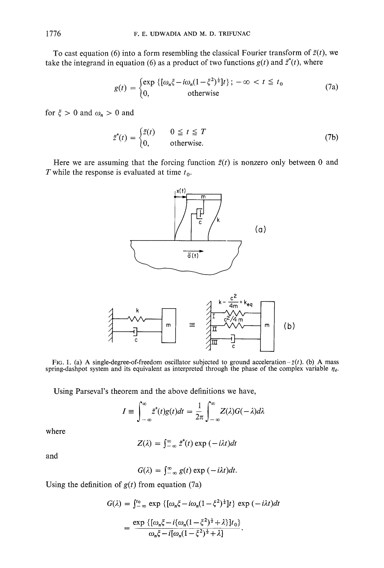To cast equation (6) into a form resembling the classical Fourier transform of  $\ddot{z}(t)$ , we take the integrand in equation (6) as a product of two functions  $g(t)$  and  $\ddot{z}^*(t)$ , where

$$
g(t) = \begin{cases} \exp \left\{ \left[ \omega_n \xi - i \omega_n (1 - \xi^2)^{\frac{1}{2}} \right] t \right\}; -\infty < t \leq t_0 \\ 0, & \text{otherwise} \end{cases} \tag{7a}
$$

for  $\xi>0$  and  $\omega_n>0$  and

$$
\ddot{z}^*(t) = \begin{cases} \ddot{z}(t) & 0 \le t \le T \\ 0, & \text{otherwise.} \end{cases}
$$
 (7b)

Here we are assuming that the forcing function  $\ddot{z}(t)$  is nonzero only between 0 and T while the response is evaluated at time  $t_0$ .





FIG. 1. (a) A single-degree-of-freedom oscillator subjected to ground acceleration- $\ddot{z}(t)$ . (b) A mass spring-dashpot system and its equivalent as interpreted through the phase of the complex variable  $\eta_d$ .

Using Parseval's theorem and the above definitions we have,

$$
I \equiv \int_{-\infty}^{\infty} z^*(t)g(t)dt = \frac{1}{2\pi} \int_{-\infty}^{\infty} Z(\lambda)G(-\lambda)d\lambda
$$

where

$$
Z(\lambda) = \int_{-\infty}^{\infty} z^*(t) \exp(-i\lambda t) dt
$$

and

$$
G(\lambda) = \int_{-\infty}^{\infty} g(t) \exp(-i\lambda t) dt.
$$

Using the definition of  $g(t)$  from equation (7a)

$$
G(\lambda) = \int_{-\infty}^{t_0} \exp \left\{ \left[ \omega_n \xi - i \omega_n (1 - \xi^2)^{\frac{1}{2}} \right] t \right\} \exp \left( -i \lambda t \right) dt
$$

$$
= \frac{\exp \left\{ \left[ \omega_n \xi - i \{ \omega_n (1 - \xi^2)^{\frac{1}{2}} + \lambda \} \right] t_0 \right\}}{\omega_n \xi - i \left[ \omega_n (1 - \xi^2)^{\frac{1}{2}} + \lambda \right]}.
$$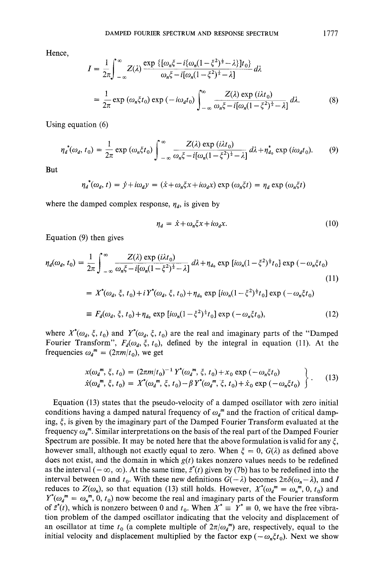Hence,

$$
I = \frac{1}{2\pi} \int_{-\infty}^{\infty} Z(\lambda) \frac{\exp \{ \{ \omega_n \xi - i \{ \omega_n (1 - \xi^2)^{\frac{1}{2}} - \lambda \} \} t_0 \}}{\omega_n \xi - i [\omega_n (1 - \xi^2)^{\frac{1}{2}} - \lambda]} d\lambda
$$
  
= 
$$
\frac{1}{2\pi} \exp (\omega_n \xi t_0) \exp (-i\omega_d t_0) \int_{-\infty}^{\infty} \frac{Z(\lambda) \exp (i\lambda t_0)}{\omega_n \xi - i [\omega_n (1 - \xi^2)^{\frac{1}{2}} - \lambda]} d\lambda.
$$
 (8)

Using equation (6)

$$
\eta_d^*(\omega_d, t_0) = \frac{1}{2\pi} \exp\left(\omega_n \xi t_0\right) \int_{-\infty}^{\infty} \frac{Z(\lambda) \exp\left(i\lambda t_0\right)}{\omega_n \xi - i[\omega_n (1 - \xi^2)^{\frac{1}{2}} - \lambda]} d\lambda + \eta_{d_0}^* \exp\left(i\omega_d t_0\right). \tag{9}
$$

**But** 

$$
\eta_d^*(\omega_d, t) = \dot{y} + i\omega_d y = (\dot{x} + \omega_n \xi x + i\omega_d x) \exp(\omega_n \xi t) = \eta_d \exp(\omega_n \xi t)
$$

where the damped complex response,  $\eta_d$ , is given by

$$
\eta_d = \dot{x} + \omega_n \xi x + i \omega_d x. \tag{10}
$$

Equation (9) then gives

$$
\eta_d(\omega_d, t_0) = \frac{1}{2\pi} \int_{-\infty}^{\infty} \frac{Z(\lambda) \exp(i\lambda t_0)}{\omega_n \xi - i[\omega_n (1 - \xi^2)^{\frac{1}{2}} - \lambda]} d\lambda + \eta_{d_0} \exp[i\omega_n (1 - \xi^2)^{\frac{1}{2}} t_0] \exp(-\omega_n \xi t_0)
$$
\n(11)\n
$$
= X^*(\omega_d, \xi, t_0) + i Y^*(\omega_d, \xi, t_0) + \eta_{d_0} \exp[i\omega_n (1 - \xi^2)^{\frac{1}{2}} t_0] \exp(-\omega_n \xi t_0)
$$
\n
$$
\equiv F_d(\omega_d, \xi, t_0) + \eta_{d_0} \exp[i\omega_n (1 - \xi^2)^{\frac{1}{2}} t_0] \exp(-\omega_n \xi t_0),
$$
\n(12)

where  $X^*(\omega_d, \xi, t_0)$  and  $Y^*(\omega_d, \xi, t_0)$  are the real and imaginary parts of the "Damped" Fourier Transform",  $F_d(\omega_d, \xi, t_0)$ , defined by the integral in equation (11). At the frequencies  $\omega_d^m = (2\pi m/t_0)$ , we get

$$
x(\omega_d^m, \xi, t_0) = (2\pi m/t_0)^{-1} Y^*(\omega_d^m, \xi, t_0) + x_0 \exp(-\omega_n \xi t_0)
$$
  
\n
$$
\dot{x}(\omega_d^m, \xi, t_0) = X^*(\omega_d^m, \xi, t_0) - \beta Y^*(\omega_d^m, \xi, t_0) + \dot{x}_0 \exp(-\omega_n \xi t_0)
$$
 (13)

Equation (13) states that the pseudo-velocity of a damped oscillator with zero initial conditions having a damped natural frequency of  $\omega_d^m$  and the fraction of critical damping,  $\xi$ , is given by the imaginary part of the Damped Fourier Transform evaluated at the frequency  $\omega_a^m$ . Similar interpretations on the basis of the real part of the Damped Fourier Spectrum are possible. It may be noted here that the above formulation is valid for any  $\xi$ , however small, although not exactly equal to zero. When  $\xi = 0$ ,  $G(\lambda)$  as defined above does not exist, and the domain in which  $g(t)$  takes nonzero values needs to be redefined as the interval ( $-\infty$ ,  $\infty$ ). At the same time,  $\ddot{z}^*(t)$  given by (7b) has to be redefined into the interval between 0 and  $t_0$ . With these new definitions  $G(-\lambda)$  becomes  $2\pi\delta(\omega_n - \lambda)$ , and I reduces to  $Z(\omega_n)$ , so that equation (13) still holds. However,  $X^*(\omega_a^m = \omega_n^m, 0, t_0)$  and  $Y^*(\omega_a^m = \omega_n^m, 0, t_0)$  now become the real and imaginary parts of the Fourier transform of  $\vec{z}^*(t)$ , which is nonzero between 0 and  $t_0$ . When  $X^* \equiv Y^* \equiv 0$ , we have the free vibration problem of the damped oscillator indicating that the velocity and displacement of an oscillator at time  $t_0$  (a complete multiple of  $2\pi/\omega_d^m$ ) are, respectively, equal to the initial velocity and displacement multiplied by the factor  $\exp(-\omega_n \xi t_0)$ . Next we show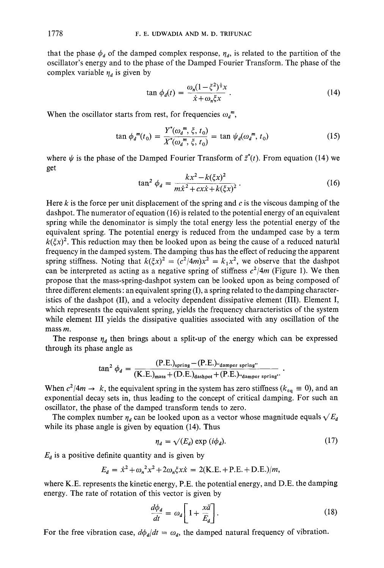that the phase  $\phi_d$  of the damped complex response,  $\eta_d$ , is related to the partition of the oscillator's energy and to the phase of the Damped Fourier Transform. The phase of the complex variable  $\eta_{\ell}$  is given by

$$
\tan \phi_d(t) = \frac{\omega_n (1 - \xi^2)^{\frac{1}{2}} x}{\dot{x} + \omega_n \xi x} \,. \tag{14}
$$

When the oscillator starts from rest, for frequencies  $\omega_d^m$ ,

$$
\tan \phi_d^m(t_0) = \frac{Y^*(\omega_d^m, \xi, t_0)}{X^*(\omega_d^m, \xi, t_0)} = \tan \psi_d(\omega_d^m, t_0)
$$
 (15)

where  $\psi$  is the phase of the Damped Fourier Transform of  $\ddot{z}^*(t)$ . From equation (14) we get

$$
\tan^2 \phi_d = \frac{kx^2 - k(\xi x)^2}{m\dot{x}^2 + cx\dot{x} + k(\xi x)^2}.
$$
 (16)

Here k is the force per unit displacement of the spring and  $c$  is the viscous damping of the dashpot. The numerator of equation (16) is related to the potential energy of an equivalent spring while the denominator is simply the total energy less the potential energy of the equivalent spring. The potential energy is reduced from the undamped case by a term  $k(\xi x)^2$ . This reduction may then be looked upon as being the cause of a reduced natural frequency in the damped system. The damping thus has the effect of reducing the apparent spring stiffness. Noting that  $k(\xi x)^2 = (c^2/4m)x^2 = k_1x^2$ , we observe that the dashpot can be interpreted as acting as a negative spring of stiffness  $c^2/4m$  (Figure 1). We then propose that the mass-spring-dashpot system can be looked upon as being composed of three different elements: an equivalent spring  $(I)$ , a spring related to the damping characteristics of the dashpot (II), and a velocity dependent dissipative element (III). Element I, which represents the equivalent spring, yields the frequency characteristics of the system while element III yields the dissipative qualities associated with any oscillation of the mass m.

The response  $\eta_d$  then brings about a split-up of the energy which can be expressed through its phase angle as

$$
\tan^2 \phi_d = \frac{(P.E.)_{spring} - (P.E.)_{\text{damped spring}}}{(K.E.)_{mass} + (D.E.)_{dashed} + (P.E.)_{\text{damped spring}}}
$$

When  $c^2/4m \to k$ , the equivalent spring in the system has zero stiffness ( $k_{eq} \equiv 0$ ), and an exponential decay sets in, thus leading to the concept of critical damping. For such an oscillator, the phase of the damped transform tends to zero.

The complex number  $\eta_d$  can be looked upon as a vector whose magnitude equals  $\sqrt{E_d}$ while its phase angle is given by equation (14). Thus

$$
\eta_d = \sqrt{(E_d)} \exp(i\phi_d). \tag{17}
$$

 $E_d$  is a positive definite quantity and is given by

$$
E_d = \dot{x}^2 + \omega_n^2 x^2 + 2\omega_n \xi x \dot{x} = 2(K.E. + P.E. + D.E.)/m,
$$

where K.E. represents the kinetic energy, P.E. the potential energy, and D.E. the damping energy. The rate of rotation of this vector is given by

$$
\frac{d\phi_d}{dt} = \omega_d \left[ 1 + \frac{x\ddot{a}}{E_d} \right].
$$
\n(18)

For the free vibration case,  $d\phi_d/dt = \omega_d$ , the damped natural frequency of vibration.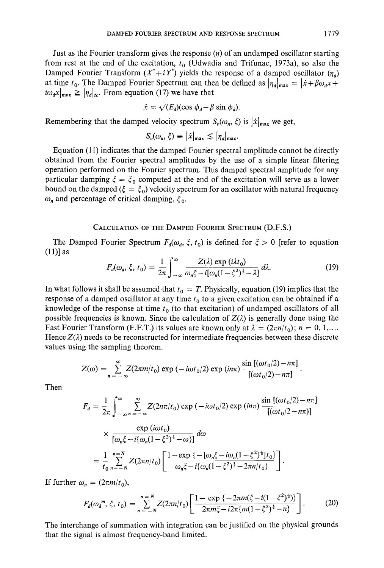Just as the Fourier transform gives the response  $(\eta)$  of an undamped oscillator starting from rest at the end of the excitation,  $t_0$  (Udwadia and Trifunac, 1973a), so also the Damped Fourier Transform  $(X^*+iY^*)$  yields the response of a damped oscillator  $(\eta_a)$ at time  $t_0$ . The Damped Fourier Spectrum can then be defined as  $|\eta_d|_{\text{max}} = |\dot{x} + \beta \omega_d x +$  $i\omega_a x|_{\text{max}} \geq |\eta_a|_{\text{to}}$ . From equation (17) we have that

$$
\dot{x} = \sqrt{(E_d)(\cos \phi_d - \beta \sin \phi_d)}.
$$

Remembering that the damped velocity spectrum  $S_v(\omega_n, \xi)$  is  $|\dot{x}|_{\text{max}}$  we get,

$$
S_v(\omega_n, \xi) \equiv |\dot{x}|_{\max} \lesssim |\eta_d|_{\max}.
$$

Equation (11) indicates that the damped Fourier spectral amplitude cannot be directly obtained from the Fourier spectral amplitudes by the use of a simple linear filtering operation performed on the Fourier spectrum. This damped spectral amplitude for any particular damping  $\xi = \xi_0$  computed at the end of the excitation will serve as a lower bound on the damped ( $\xi = \xi_0$ ) velocity spectrum for an oscillator with natural frequency  $\omega_n$  and percentage of critical damping,  $\xi_0$ .

CALCULATION OF THE DAMPED FOURIER SPECTRUM (D.F.S.)

The Damped Fourier Spectrum  $F_d(\omega_d, \xi, t_0)$  is defined for  $\xi > 0$  [refer to equation (11)] as

$$
F_d(\omega_d, \xi, t_0) = \frac{1}{2\pi} \int_{-\infty}^{\infty} \frac{Z(\lambda) \exp(i\lambda t_0)}{\omega_n \xi - i[\omega_n (1 - \xi^2)^{\frac{1}{2}} - \lambda]} d\lambda.
$$
 (19)

In what follows it shall be assumed that  $t_0 = T$ . Physically, equation (19) implies that the response of a damped oscillator at any time  $t_0$  to a given excitation can be obtained if a knowledge of the response at time  $t_0$  (to that excitation) of undamped oscillators of all possible frequencies is known. Since the calculation of  $Z(\lambda)$  is generally done using the Fast Fourier Transform (F.F.T.) its values are known only at  $\lambda = (2\pi n/t_0)$ ;  $n = 0, 1, \dots$ Hence  $Z(\lambda)$  needs to be reconstructed for intermediate frequencies between these discrete values using the sampling theorem.

$$
Z(\omega) = \sum_{n=-\infty}^{\infty} Z(2\pi m/t_0) \exp(-i\omega t_0/2) \exp(i n\pi) \frac{\sin[(\omega t_0/2) - n\pi]}{[(\omega t_0/2) - n\pi]}
$$

Then

$$
F_d = \frac{1}{2\pi} \int_{-\infty}^{\infty} \sum_{n=-\infty}^{\infty} Z(2n\pi/t_0) \exp(-i\omega t_0/2) \exp(i n\pi) \frac{\sin[(\omega t_0/2) - n\pi]}{[(\omega t_0/2 - n\pi)]}
$$
  
 
$$
\times \frac{\exp(i\omega t_0)}{[\omega_n \xi - i\{\omega_n (1 - \xi^2)^{\frac{1}{2}} - \omega\}]} d\omega
$$
  
= 
$$
\frac{1}{t_0} \sum_{n=-N}^{n=N} Z(2\pi n/t_0) \left[ \frac{1 - \exp\{-[\omega_n \xi - i\omega_n (1 - \xi^2)^{\frac{1}{2}}]t_0\}}{\omega_n \xi - i\{\omega_n (1 - \xi^2)^{\frac{1}{2}} - 2\pi n/t_0\}} \right].
$$

If further  $\omega_n = (2\pi m/t_0)$ ,

$$
F_d(\omega_a^m, \xi, t_0) = \sum_{n = -N}^{n = N} Z(2\pi n | t_0) \left[ \frac{1 - \exp\{-2\pi m (\xi - i(1 - \xi^2)^{\frac{1}{2}}) \}}{2\pi m \xi - i2\pi \{ m(1 - \xi^2)^{\frac{1}{2}} - n \}} \right].
$$
 (20)

The interchange of summation with integration can be justified on the physical grounds that the signal is almost frequency-band limited.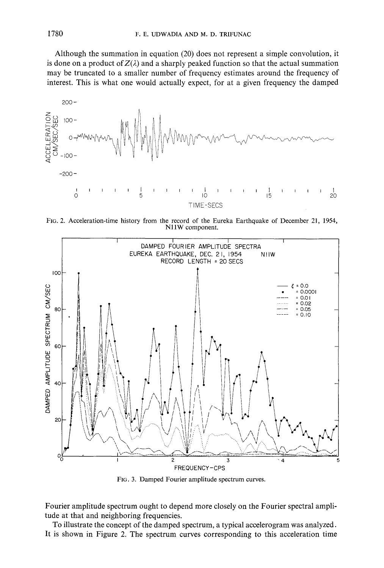Although the summation in equation (20) does not represent a simple convolution, it is done on a product of  $Z(\lambda)$  and a sharply peaked function so that the actual summation may be truncated to a **smaller number** of frequency estimates around the frequency of interest. This is what one would actually **expect, for** at a given frequency the damped



**Fro. 2. Acceleration-time history from the record of the Eureka Earthquake of December 21, 1954, N1 lW component.** 



FIG. 3. Damped **Fourier amplitude spectrum** curves.

**Fourier amplitude spectrum ought to depend more closely on the Fourier spectral amplitude at that and neighboring frequencies.** 

**To illustrate the concept of the damped spectrum, a typical accelerogram was analyzed. It is shown in Figure 2. The spectrum curves corresponding to this acceleration time**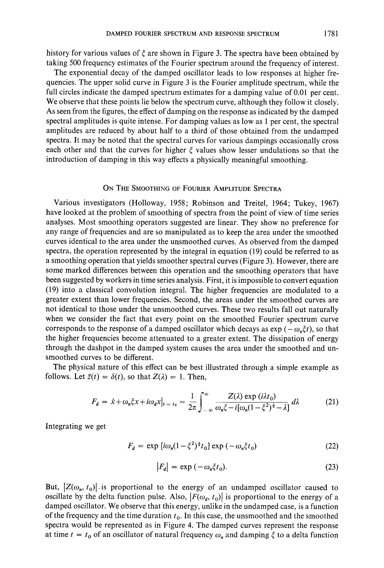history for various values of  $\xi$  are shown in Figure 3. The spectra have been obtained by taking 500 frequency estimates of the Fourier spectrum around the frequency of interest.

The exponential decay of the damped oscillator leads to low responses at higher frequencies. The upper solid curve in Figure 3 is the Fourier amplitude spectrum, while the full circles indicate the damped spectrum estimates for a damping value of 0.01 per cent. We observe that these points lie below the spectrum curve, although they follow it closely. As seen from the figures, the effect of damping on the response as indicated by the damped spectral amplitudes is quite intense. For damping values as low as 1 per cent, the spectral amplitudes are reduced by about half to a third of those obtained from the undamped spectra. It may be noted that the spectral curves for various dampings occasionally cross each other and that the curves for higher  $\xi$  values show lesser undulations so that the introduction of damping in this way effects a physically meaningful smoothing.

# ON THE SMOOTHING OF FOURIER AMPLITUDE SPECTRA

Various investigators (Holloway, 1958; Robinson and Treitel, 1964; Tukey, 1967) have looked at the problem of smoothing of spectra from the point of view of time series analyses. Most smoothing operators suggested are linear. They show no preference for any range of frequencies and are so manipulated as to keep the area under the smoothed curves identical to the area under the unsmoothed curves. As observed from the damped spectra, the operation represented by the integral in equation (19) could be referred to as a smoothing operation that yields smoother spectral curves (Figure 3). However, there are some marked differences between this operation and the smoothing operators that have been suggested by workers in time series analysis. First, it is impossible to convert equation (19) into a classical convolution integral. The higher frequencies are modulated to a greater extent than lower frequencies. Second, the areas under the smoothed curves are not identical to those under the unsmoothed curves. These two results fall out naturally when we consider the fact that every point on the smoothed Fourier spectrum curve corresponds to the response of a damped oscillator which decays as  $\exp(-\omega_n \xi t)$ , so that the higher frequencies become attenuated to a greater extent. The dissipation of energy through the dashpot in the damped system causes the area under the smoothed and unsmoothed curves to be different.

The physical nature of this effect can be best illustrated through a simple example as follows. Let  $\ddot{z}(t) = \delta(t)$ , so that  $Z(\lambda) = 1$ . Then,

$$
F_d = \dot{x} + \omega_n \xi x + i\omega_d x \big|_{t = t_0} = \frac{1}{2\pi} \int_{-\infty}^{\infty} \frac{Z(\lambda) \exp(i\lambda t_0)}{\omega_n \xi - i[\omega_n (1 - \xi^2)^{\frac{1}{2}} - \lambda]} d\lambda \tag{21}
$$

Integrating we get

$$
F_d = \exp[i\omega_n(1 - \xi^2)^{\frac{1}{2}}t_0] \exp(-\omega_n \xi t_0)
$$
 (22)

$$
|F_d| = \exp(-\omega_n \xi t_0). \tag{23}
$$

But,  $|Z(\omega_n, t_0)|$  is proportional to the energy of an undamped oscillator caused to oscillate by the delta function pulse. Also,  $|F(\omega_d, t_0)|$  is proportional to the energy of a damped oscillator. We observe that this energy, unlike in the undamped case, is a function of the frequency and the time duration  $t_0$ . In this case, the unsmoothed and the smoothed spectra would be represented as in Figure 4. The damped curves represent the response at time  $t = t_0$  of an oscillator of natural frequency  $\omega_n$  and damping  $\xi$  to a delta function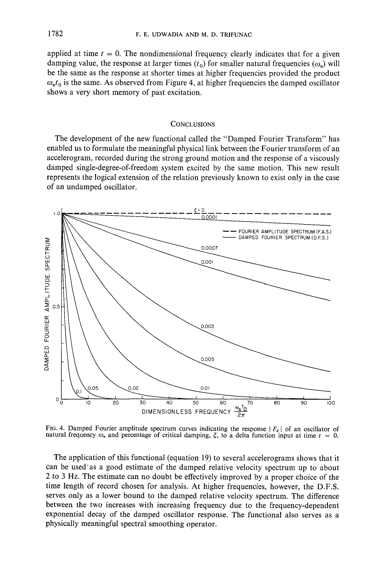applied at time  $t = 0$ . The nondimensional frequency clearly indicates that for a given damping value, the response at larger times  $(t_0)$  for smaller natural frequencies  $(\omega_n)$  will **be the same as the response at shorter times at higher frequencies provided the product**   $\omega_n t_0$  is the same. As observed from Figure 4, at higher frequencies the damped oscillator **shows a very short memory of past excitation.** 

### **CONCLUSIONS**

**The development of the new functional called the "Damped Fourier Transform" has enabled us to formulate the meaningful physical link between the Fourier transform of an accelerogram, recorded during the strong ground motion and the response of a viscously damped single-degree-of-freedom system excited by the same motion. This new result represents the logical extension of the relation previously known to exist only in the case of an undamped oscillator.** 



FIG. 4. Damped Fourier amplitude spectrum curves indicating the response  $|F_a|$  of an oscillator of **natural frequency**  $\omega_n$  **and percentage of critical damping,**  $\xi$ **, to a delta function input at time**  $t = 0$ **.** 

**The application of this functional (equation 19) to several accelerograms shows that it can be used'as a good estimate of the damped relative velocity spectrum up to about 2 to 3 Hz. The estimate can no doubt be effectively improved by a proper choice of the time length of record chosen for analysis. At higher frequencies, however, the D.F.S. serves only as a lower bound to the damped relative velocity spectrum. The difference between the two increases with increasing frequency due to the frequency-dependent exponential decay of the damped oscillator response. The functional also serves as a physically meaningful spectral smoothing operator.**